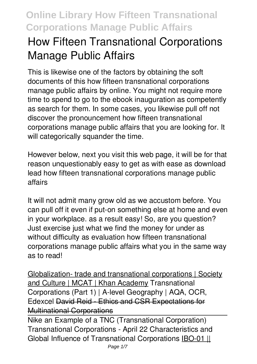# **How Fifteen Transnational Corporations Manage Public Affairs**

This is likewise one of the factors by obtaining the soft documents of this **how fifteen transnational corporations manage public affairs** by online. You might not require more time to spend to go to the ebook inauguration as competently as search for them. In some cases, you likewise pull off not discover the pronouncement how fifteen transnational corporations manage public affairs that you are looking for. It will categorically squander the time.

However below, next you visit this web page, it will be for that reason unquestionably easy to get as with ease as download lead how fifteen transnational corporations manage public affairs

It will not admit many grow old as we accustom before. You can pull off it even if put-on something else at home and even in your workplace. as a result easy! So, are you question? Just exercise just what we find the money for under as without difficulty as evaluation **how fifteen transnational corporations manage public affairs** what you in the same way as to read!

Globalization- trade and transnational corporations | Society and Culture | MCAT | Khan Academy Transnational Corporations (Part 1) | A-level Geography | AQA, OCR, Edexcel David Reid - Ethics and CSR Expectations for Multinational Corporations

Nike an Example of a TNC (Transnational Corporation) *Transnational Corporations - April 22 Characteristics and Global Influence of Transnational Corporations* IBO-01 ||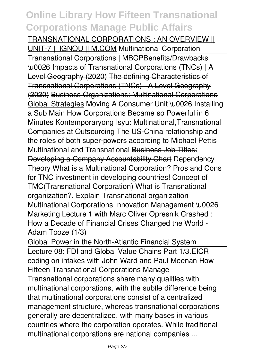#### TRANSNATIONAL CORPORATIONS : AN OVERVIEW || UNIT-7 || IGNOU || M.COM *Multinational Corporation*

Transnational Corporations | MBCPBenefits/Drawbacks \u0026 Impacts of Transnational Corporations (TNCs) | A Level Geography (2020) The defining Characteristics of Transnational Corporations (TNCs) | A Level Geography (2020) Business Organizations: Multinational Corporations Global Strategies Moving A Consumer Unit \u0026 Installing a Sub Main **How Corporations Became so Powerful in 6 Minutes Kontemporaryong Isyu: Multinational,Transnational Companies at Outsourcing** *The US-China relationship and the roles of both super-powers according to Michael Pettis* **Multinational and Transnational** Business Job Titles: Developing a Company Accountability Chart *Dependency Theory What is a Multinational Corporation?* Pros and Cons for TNC investment in developing countries! *Concept of TMC(Transnational Corporation)* **What is Transnational organization?, Explain Transnational organization Multinational Corporations** Innovation Management \u0026 Marketing Lecture 1 with Marc Oliver Opresnik *Crashed : How a Decade of Financial Crises Changed the World - Adam Tooze (1/3)*

Global Power in the North-Atlantic Financial System Lecture 08: FDI and Global Value Chains Part 1/3.**EICR coding on intakes with John Ward and Paul Meenan How Fifteen Transnational Corporations Manage** Transnational corporations share many qualities with multinational corporations, with the subtle difference being that multinational corporations consist of a centralized management structure, whereas transnational corporations generally are decentralized, with many bases in various countries where the corporation operates. While traditional multinational corporations are national companies ...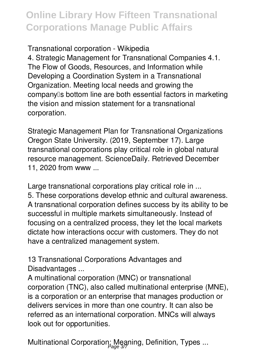**Transnational corporation - Wikipedia**

4. Strategic Management for Transnational Companies 4.1. The Flow of Goods, Resources, and Information while Developing a Coordination System in a Transnational Organization. Meeting local needs and growing the company's bottom line are both essential factors in marketing the vision and mission statement for a transnational corporation.

**Strategic Management Plan for Transnational Organizations** Oregon State University. (2019, September 17). Large transnational corporations play critical role in global natural resource management. ScienceDaily. Retrieved December 11, 2020 from www ...

**Large transnational corporations play critical role in ...** 5. These corporations develop ethnic and cultural awareness. A transnational corporation defines success by its ability to be successful in multiple markets simultaneously. Instead of focusing on a centralized process, they let the local markets dictate how interactions occur with customers. They do not have a centralized management system.

**13 Transnational Corporations Advantages and Disadvantages ...**

A multinational corporation (MNC) or transnational corporation (TNC), also called multinational enterprise (MNE), is a corporation or an enterprise that manages production or delivers services in more than one country. It can also be referred as an international corporation. MNCs will always look out for opportunities.

**Multinational Corporation: Meaning, Definition, Types ...** Page 3/7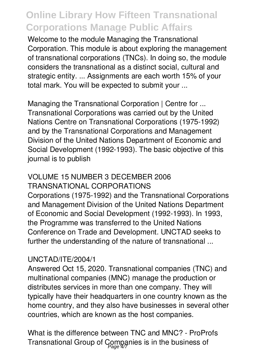Welcome to the module Managing the Transnational Corporation. This module is about exploring the management of transnational corporations (TNCs). In doing so, the module considers the transnational as a distinct social, cultural and strategic entity. ... Assignments are each worth 15% of your total mark. You will be expected to submit your ...

**Managing the Transnational Corporation | Centre for ...** Transnational Corporations was carried out by the United Nations Centre on Transnational Corporations (1975-1992) and by the Transnational Corporations and Management Division of the United Nations Department of Economic and Social Development (1992-1993). The basic objective of this journal is to publish

#### **VOLUME 15 NUMBER 3 DECEMBER 2006 TRANSNATIONAL CORPORATIONS**

Corporations (1975-1992) and the Transnational Corporations and Management Division of the United Nations Department of Economic and Social Development (1992-1993). In 1993, the Programme was transferred to the United Nations Conference on Trade and Development. UNCTAD seeks to further the understanding of the nature of transnational ...

#### **UNCTAD/ITE/2004/1**

Answered Oct 15, 2020. Transnational companies (TNC) and multinational companies (MNC) manage the production or distributes services in more than one company. They will typically have their headquarters in one country known as the home country, and they also have businesses in several other countries, which are known as the host companies.

**What is the difference between TNC and MNC? - ProProfs** Transnational Group of Companies is in the business of Page 4/7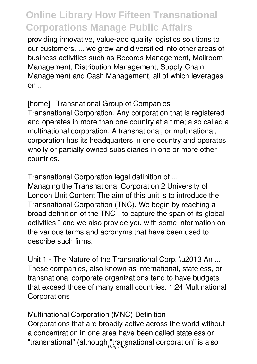providing innovative, value-add quality logistics solutions to our customers. ... we grew and diversified into other areas of business activities such as Records Management, Mailroom Management, Distribution Management, Supply Chain Management and Cash Management, all of which leverages  $on...$ 

**[home] | Transnational Group of Companies** Transnational Corporation. Any corporation that is registered and operates in more than one country at a time; also called a multinational corporation. A transnational, or multinational, corporation has its headquarters in one country and operates wholly or partially owned subsidiaries in one or more other countries.

**Transnational Corporation legal definition of ...** Managing the Transnational Corporation 2 University of London Unit Content The aim of this unit is to introduce the Transnational Corporation (TNC). We begin by reaching a broad definition of the TNC  $\mathbb I$  to capture the span of its global activities I and we also provide you with some information on the various terms and acronyms that have been used to

describe such firms.

**Unit 1 - The Nature of the Transnational Corp. \u2013 An ...** These companies, also known as international, stateless, or transnational corporate organizations tend to have budgets that exceed those of many small countries. 1:24 Multinational **Corporations** 

**Multinational Corporation (MNC) Definition** Corporations that are broadly active across the world without a concentration in one area have been called stateless or "transnational" (although "transnational corporation" is also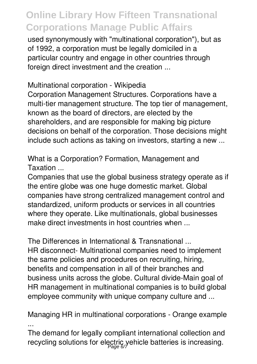used synonymously with "multinational corporation"), but as of 1992, a corporation must be legally domiciled in a particular country and engage in other countries through foreign direct investment and the creation ...

**Multinational corporation - Wikipedia**

Corporation Management Structures. Corporations have a multi-tier management structure. The top tier of management, known as the board of directors, are elected by the shareholders, and are responsible for making big picture decisions on behalf of the corporation. Those decisions might include such actions as taking on investors, starting a new ...

**What is a Corporation? Formation, Management and Taxation ...**

Companies that use the global business strategy operate as if the entire globe was one huge domestic market. Global companies have strong centralized management control and standardized, uniform products or services in all countries where they operate. Like multinationals, global businesses make direct investments in host countries when ...

**The Differences in International & Transnational ...** HR disconnect- Multinational companies need to implement the same policies and procedures on recruiting, hiring, benefits and compensation in all of their branches and business units across the globe. Cultural divide-Main goal of HR management in multinational companies is to build global employee community with unique company culture and ...

**Managing HR in multinational corporations - Orange example ...**

The demand for legally compliant international collection and recycling solutions for electric vehicle batteries is increasing. Page 6/7